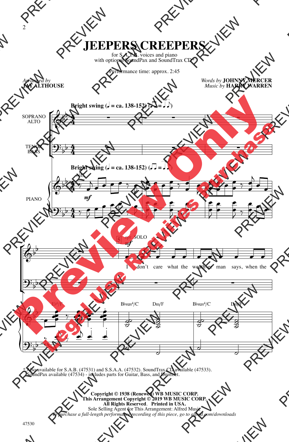## **JEEPERS CREEPERS**

for S.A.T.B. voices and piano with optional SoundPax and SoundTrax CD\*

Performance time: approx. 2:45

*Arranged by* **JAY ALTHOUSE** *Words by* **JOHNNY MERCER** *Music by* **HARRY WARREN**



\* Also available for S.A.B. (47531) and S.S.A.A. (47532). SoundTrax CD available (47533). SoundPax available (47534) - includes parts for Guitar, Bass, and Drumset.

> **Copyright © 1938 (Renewed) WB MUSIC CORP. This Arrangement Copyright © 2019 WB MUSIC CORP. All Rights Reserved***.* **Printed in USA.** Sole Selling Agent for This Arrangement: Alfred Music *To purchase a full-length performance recording of this piece, go to alfred.com/downloads*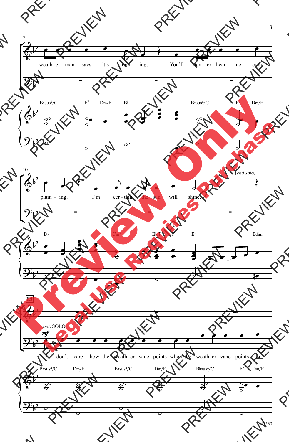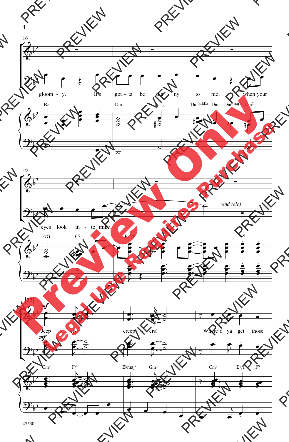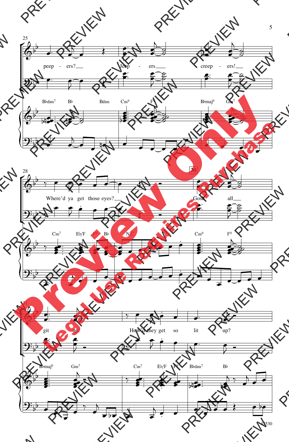

47530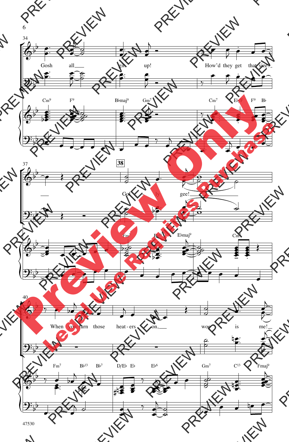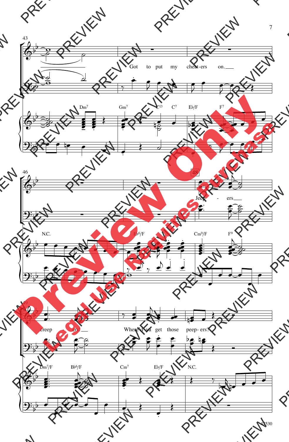

47530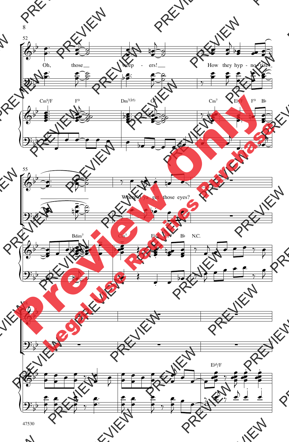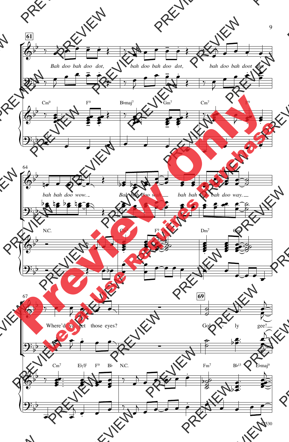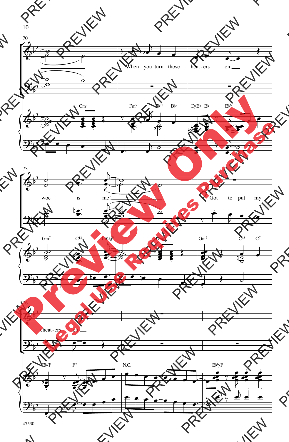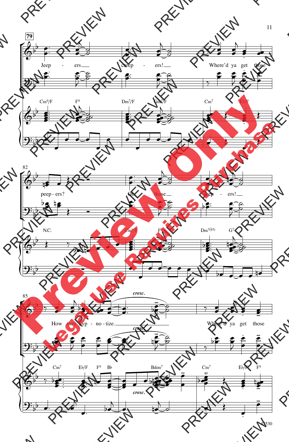